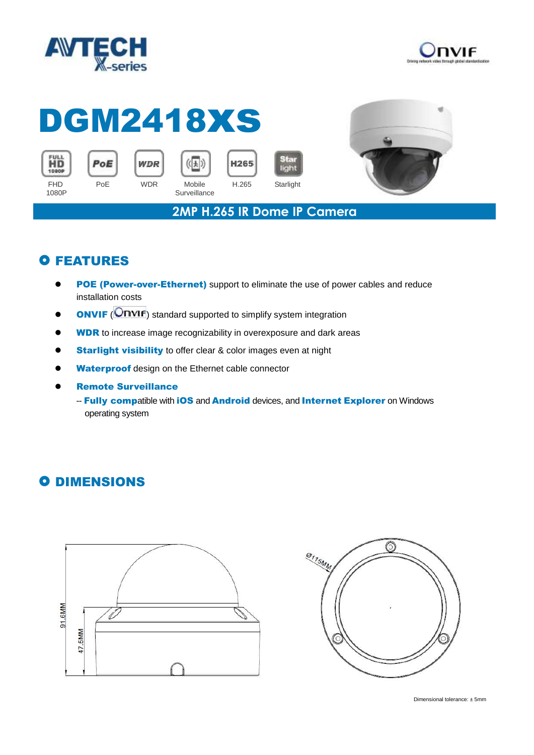



## DGM2418xs











**2MP H.265 IR Dome IP Camera**

## **O FEATURES**

- **POE (Power-over-Ethernet)** support to eliminate the use of power cables and reduce installation costs
- **ONVIF** (**ONVIF**) standard supported to simplify system integration
- **WDR** to increase image recognizability in overexposure and dark areas
- **Starlight visibility** to offer clear & color images even at night
- Waterproof design on the Ethernet cable connector
- Remote Surveillance
	- -- Fully compatible with iOS and Android devices, and Internet Explorer on Windows operating system

## **O DIMENSIONS**





Dimensional tolerance: ± 5mm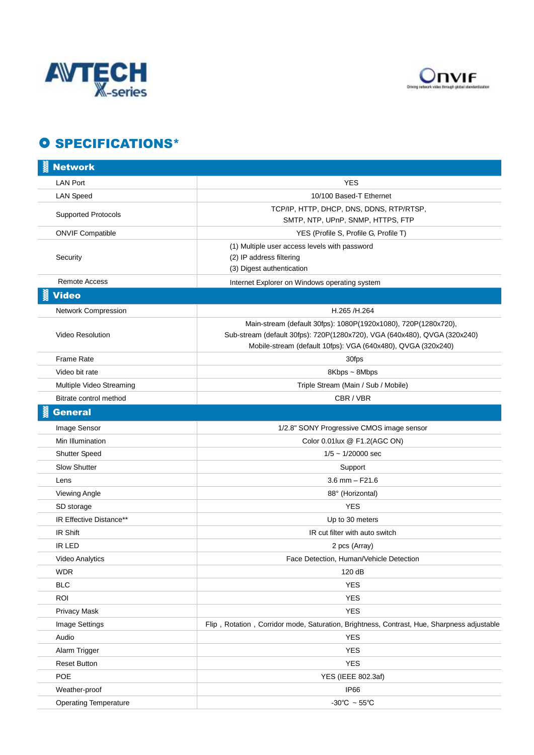



## **O SPECIFICATIONS\***

| <b>Network</b>               |                                                                                                                                                                                                             |
|------------------------------|-------------------------------------------------------------------------------------------------------------------------------------------------------------------------------------------------------------|
| <b>LAN Port</b>              | <b>YES</b>                                                                                                                                                                                                  |
| <b>LAN Speed</b>             | 10/100 Based-T Ethernet                                                                                                                                                                                     |
| <b>Supported Protocols</b>   | TCP/IP, HTTP, DHCP, DNS, DDNS, RTP/RTSP,                                                                                                                                                                    |
|                              | SMTP, NTP, UPnP, SNMP, HTTPS, FTP                                                                                                                                                                           |
| <b>ONVIF Compatible</b>      | YES (Profile S, Profile G, Profile T)                                                                                                                                                                       |
| Security                     | (1) Multiple user access levels with password<br>(2) IP address filtering<br>(3) Digest authentication                                                                                                      |
| <b>Remote Access</b>         | Internet Explorer on Windows operating system                                                                                                                                                               |
| <b>Video</b>                 |                                                                                                                                                                                                             |
| Network Compression          | H.265 /H.264                                                                                                                                                                                                |
| <b>Video Resolution</b>      | Main-stream (default 30fps): 1080P(1920x1080), 720P(1280x720),<br>Sub-stream (default 30fps): 720P(1280x720), VGA (640x480), QVGA (320x240)<br>Mobile-stream (default 10fps): VGA (640x480), QVGA (320x240) |
| Frame Rate                   | 30fps                                                                                                                                                                                                       |
| Video bit rate               | 8Kbps ~ 8Mbps                                                                                                                                                                                               |
| Multiple Video Streaming     | Triple Stream (Main / Sub / Mobile)                                                                                                                                                                         |
| Bitrate control method       | CBR / VBR                                                                                                                                                                                                   |
| <b>General</b>               |                                                                                                                                                                                                             |
| Image Sensor                 | 1/2.8" SONY Progressive CMOS image sensor                                                                                                                                                                   |
| Min Illumination             | Color 0.01lux @ F1.2(AGC ON)                                                                                                                                                                                |
| <b>Shutter Speed</b>         | $1/5 \sim 1/20000$ sec                                                                                                                                                                                      |
| <b>Slow Shutter</b>          | Support                                                                                                                                                                                                     |
| Lens                         | $3.6$ mm $-$ F21.6                                                                                                                                                                                          |
| Viewing Angle                | 88° (Horizontal)                                                                                                                                                                                            |
| SD storage                   | <b>YES</b>                                                                                                                                                                                                  |
| IR Effective Distance**      | Up to 30 meters                                                                                                                                                                                             |
| IR Shift                     | IR cut filter with auto switch                                                                                                                                                                              |
| IR LED                       | 2 pcs (Array)                                                                                                                                                                                               |
| <b>Video Analytics</b>       | Face Detection, Human/Vehicle Detection                                                                                                                                                                     |
| <b>WDR</b>                   | 120 dB                                                                                                                                                                                                      |
| <b>BLC</b>                   | <b>YES</b>                                                                                                                                                                                                  |
| <b>ROI</b>                   | <b>YES</b>                                                                                                                                                                                                  |
| Privacy Mask                 | <b>YES</b>                                                                                                                                                                                                  |
| Image Settings               | Flip, Rotation, Corridor mode, Saturation, Brightness, Contrast, Hue, Sharpness adjustable                                                                                                                  |
| Audio                        | <b>YES</b>                                                                                                                                                                                                  |
| Alarm Trigger                | <b>YES</b>                                                                                                                                                                                                  |
| <b>Reset Button</b>          | <b>YES</b>                                                                                                                                                                                                  |
| <b>POE</b>                   | YES (IEEE 802.3af)                                                                                                                                                                                          |
| Weather-proof                | <b>IP66</b>                                                                                                                                                                                                 |
| <b>Operating Temperature</b> | -30°C $\sim$ 55°C                                                                                                                                                                                           |